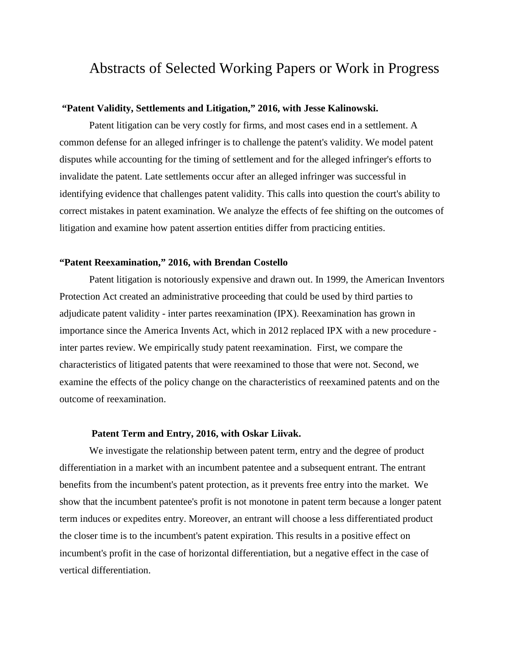# Abstracts of Selected Working Papers or Work in Progress

#### **"Patent Validity, Settlements and Litigation," 2016, with Jesse Kalinowski.**

Patent litigation can be very costly for firms, and most cases end in a settlement. A common defense for an alleged infringer is to challenge the patent's validity. We model patent disputes while accounting for the timing of settlement and for the alleged infringer's efforts to invalidate the patent. Late settlements occur after an alleged infringer was successful in identifying evidence that challenges patent validity. This calls into question the court's ability to correct mistakes in patent examination. We analyze the effects of fee shifting on the outcomes of litigation and examine how patent assertion entities differ from practicing entities.

#### **"Patent Reexamination," 2016, with Brendan Costello**

Patent litigation is notoriously expensive and drawn out. In 1999, the American Inventors Protection Act created an administrative proceeding that could be used by third parties to adjudicate patent validity - inter partes reexamination (IPX). Reexamination has grown in importance since the America Invents Act, which in 2012 replaced IPX with a new procedure inter partes review. We empirically study patent reexamination. First, we compare the characteristics of litigated patents that were reexamined to those that were not. Second, we examine the effects of the policy change on the characteristics of reexamined patents and on the outcome of reexamination.

#### **Patent Term and Entry, 2016, with Oskar Liivak.**

We investigate the relationship between patent term, entry and the degree of product differentiation in a market with an incumbent patentee and a subsequent entrant. The entrant benefits from the incumbent's patent protection, as it prevents free entry into the market. We show that the incumbent patentee's profit is not monotone in patent term because a longer patent term induces or expedites entry. Moreover, an entrant will choose a less differentiated product the closer time is to the incumbent's patent expiration. This results in a positive effect on incumbent's profit in the case of horizontal differentiation, but a negative effect in the case of vertical differentiation.